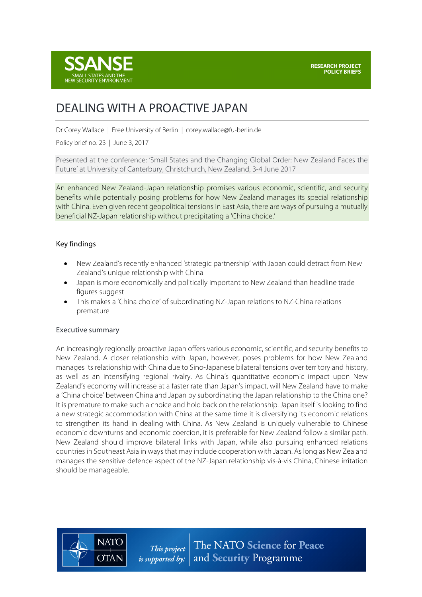

# DEALING WITH A PROACTIVE JAPAN

Dr Corey Wallace | Free University of Berlin | corey.wallace@fu-berlin.de

Policy brief no. 23 | June 3, 2017

Presented at the conference: 'Small States and the Changing Global Order: New Zealand Faces the Future' at University of Canterbury, Christchurch, New Zealand, 3-4 June 2017

An enhanced New Zealand-Japan relationship promises various economic, scientific, and security benefits while potentially posing problems for how New Zealand manages its special relationship with China. Even given recent geopolitical tensions in East Asia, there are ways of pursuing a mutually beneficial NZ-Japan relationship without precipitating a 'China choice.'

## Key findings

- New Zealand's recently enhanced 'strategic partnership' with Japan could detract from New Zealand's unique relationship with China
- Japan is more economically and politically important to New Zealand than headline trade figures suggest
- This makes a 'China choice' of subordinating NZ-Japan relations to NZ-China relations premature

## Executive summary

**NATO** 

**OTAN** 

An increasingly regionally proactive Japan offers various economic, scientific, and security benefits to New Zealand. A closer relationship with Japan, however, poses problems for how New Zealand manages its relationship with China due to Sino-Japanese bilateral tensions over territory and history, as well as an intensifying regional rivalry. As China's quantitative economic impact upon New Zealand's economy will increase at a faster rate than Japan's impact, will New Zealand have to make a 'China choice' between China and Japan by subordinating the Japan relationship to the China one? It is premature to make such a choice and hold back on the relationship. Japan itself is looking to find a new strategic accommodation with China at the same time it is diversifying its economic relations to strengthen its hand in dealing with China. As New Zealand is uniquely vulnerable to Chinese economic downturns and economic coercion, it is preferable for New Zealand follow a similar path. New Zealand should improve bilateral links with Japan, while also pursuing enhanced relations countries in Southeast Asia in ways that may include cooperation with Japan. As long as New Zealand manages the sensitive defence aspect of the NZ-Japan relationship vis-à-vis China, Chinese irritation should be manageable.

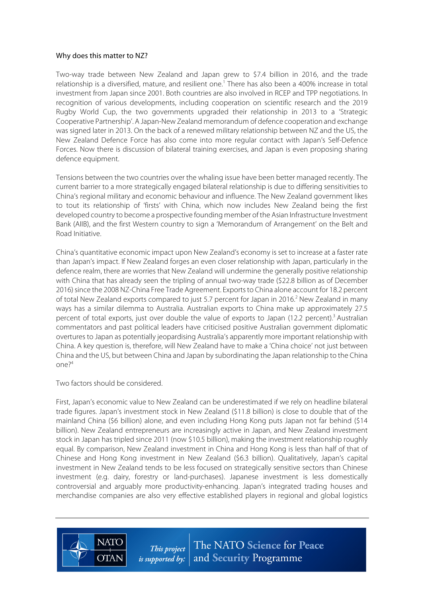#### Why does this matter to NZ?

Two-way trade between New Zealand and Japan grew to \$7.4 billion in 2016, and the trade relationship is a diversified, mature, and resilient one.<sup>1</sup> There has also been a 400% increase in total investment from Japan since 2001. Both countries are also involved in RCEP and TPP negotiations. In recognition of various developments, including cooperation on scientific research and the 2019 Rugby World Cup, the two governments upgraded their relationship in 2013 to a 'Strategic Cooperative Partnership'. A Japan-New Zealand memorandum of defence cooperation and exchange was signed later in 2013. On the back of a renewed military relationship between NZ and the US, the New Zealand Defence Force has also come into more regular contact with Japan's Self-Defence Forces. Now there is discussion of bilateral training exercises, and Japan is even proposing sharing defence equipment.

Tensions between the two countries over the whaling issue have been better managed recently. The current barrier to a more strategically engaged bilateral relationship is due to differing sensitivities to China's regional military and economic behaviour and influence. The New Zealand government likes to tout its relationship of 'firsts' with China, which now includes New Zealand being the first developed country to become a prospective founding member of the Asian Infrastructure Investment Bank (AIIB), and the first Western country to sign a 'Memorandum of Arrangement' on the Belt and Road Initiative.

China's quantitative economic impact upon New Zealand's economy is set to increase at a faster rate than Japan's impact. If New Zealand forges an even closer relationship with Japan, particularly in the defence realm, there are worries that New Zealand will undermine the generally positive relationship with China that has already seen the tripling of annual two-way trade (\$22.8 billion as of December 2016) since the 2008 NZ-China Free Trade Agreement. Exports to China alone account for 18.2 percent of total New Zealand exports compared to just 5.7 percent for Japan in 2016.<sup>2</sup> New Zealand in many ways has a similar dilemma to Australia. Australian exports to China make up approximately 27.5 percent of total exports, just over double the value of exports to Japan (12.2 percent).<sup>3</sup> Australian commentators and past political leaders have criticised positive Australian government diplomatic overtures to Japan as potentially jeopardising Australia's apparently more important relationship with China. A key question is, therefore, will New Zealand have to make a 'China choice' not just between China and the US, but between China and Japan by subordinating the Japan relationship to the China  $On^2$ 

Two factors should be considered.

First, Japan's economic value to New Zealand can be underestimated if we rely on headline bilateral trade figures. Japan's investment stock in New Zealand (\$11.8 billion) is close to double that of the mainland China (\$6 billion) alone, and even including Hong Kong puts Japan not far behind (\$14 billion). New Zealand entrepreneurs are increasingly active in Japan, and New Zealand investment stock in Japan has tripled since 2011 (now \$10.5 billion), making the investment relationship roughly equal. By comparison, New Zealand investment in China and Hong Kong is less than half of that of Chinese and Hong Kong investment in New Zealand (\$6.3 billion). Qualitatively, Japan's capital investment in New Zealand tends to be less focused on strategically sensitive sectors than Chinese investment (e.g. dairy, forestry or land-purchases). Japanese investment is less domestically controversial and arguably more productivity-enhancing. Japan's integrated trading houses and merchandise companies are also very effective established players in regional and global logistics



The NATO Science for Peace This project and Security Programme is supported by:  $\vert$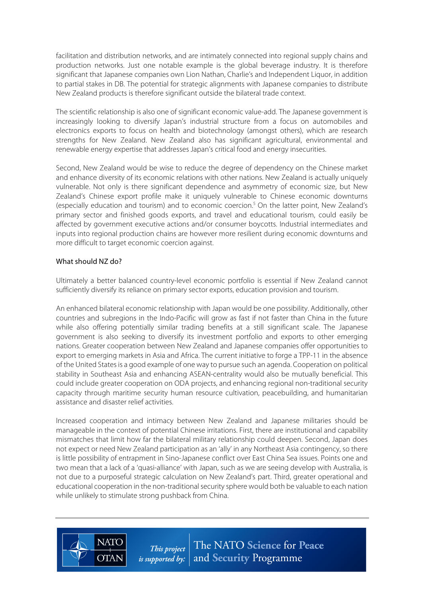facilitation and distribution networks, and are intimately connected into regional supply chains and production networks. Just one notable example is the global beverage industry. It is therefore significant that Japanese companies own Lion Nathan, Charlie's and Independent Liquor, in addition to partial stakes in DB. The potential for strategic alignments with Japanese companies to distribute New Zealand products is therefore significant outside the bilateral trade context.

The scientific relationship is also one of significant economic value-add. The Japanese government is increasingly looking to diversify Japan's industrial structure from a focus on automobiles and electronics exports to focus on health and biotechnology (amongst others), which are research strengths for New Zealand. New Zealand also has significant agricultural, environmental and renewable energy expertise that addresses Japan's critical food and energy insecurities.

Second, New Zealand would be wise to reduce the degree of dependency on the Chinese market and enhance diversity of its economic relations with other nations. New Zealand is actually uniquely vulnerable. Not only is there significant dependence and asymmetry of economic size, but New Zealand's Chinese export profile make it uniquely vulnerable to Chinese economic downturns (especially education and tourism) and to economic coercion.<sup>5</sup> On the latter point, New Zealand's primary sector and finished goods exports, and travel and educational tourism, could easily be affected by government executive actions and/or consumer boycotts. Industrial intermediates and inputs into regional production chains are however more resilient during economic downturns and more difficult to target economic coercion against.

## What should NZ do?

**NATC** 

**OTAN** 

Ultimately a better balanced country-level economic portfolio is essential if New Zealand cannot sufficiently diversify its reliance on primary sector exports, education provision and tourism.

An enhanced bilateral economic relationship with Japan would be one possibility. Additionally, other countries and subregions in the Indo-Pacific will grow as fast if not faster than China in the future while also offering potentially similar trading benefits at a still significant scale. The Japanese government is also seeking to diversify its investment portfolio and exports to other emerging nations. Greater cooperation between New Zealand and Japanese companies offer opportunities to export to emerging markets in Asia and Africa. The current initiative to forge a TPP-11 in the absence of the United States is a good example of one way to pursue such an agenda. Cooperation on political stability in Southeast Asia and enhancing ASEAN-centrality would also be mutually beneficial. This could include greater cooperation on ODA projects, and enhancing regional non-traditional security capacity through maritime security human resource cultivation, peacebuilding, and humanitarian assistance and disaster relief activities.

Increased cooperation and intimacy between New Zealand and Japanese militaries should be manageable in the context of potential Chinese irritations. First, there are institutional and capability mismatches that limit how far the bilateral military relationship could deepen. Second, Japan does not expect or need New Zealand participation as an 'ally' in any Northeast Asia contingency, so there is little possibility of entrapment in Sino-Japanese conflict over East China Sea issues. Points one and two mean that a lack of a 'quasi-alliance' with Japan, such as we are seeing develop with Australia, is not due to a purposeful strategic calculation on New Zealand's part. Third, greater operational and educational cooperation in the non-traditional security sphere would both be valuable to each nation while unlikely to stimulate strong pushback from China.

> The NATO Science for Peace This project *is supported by:*  $|$  and **Security** Programme